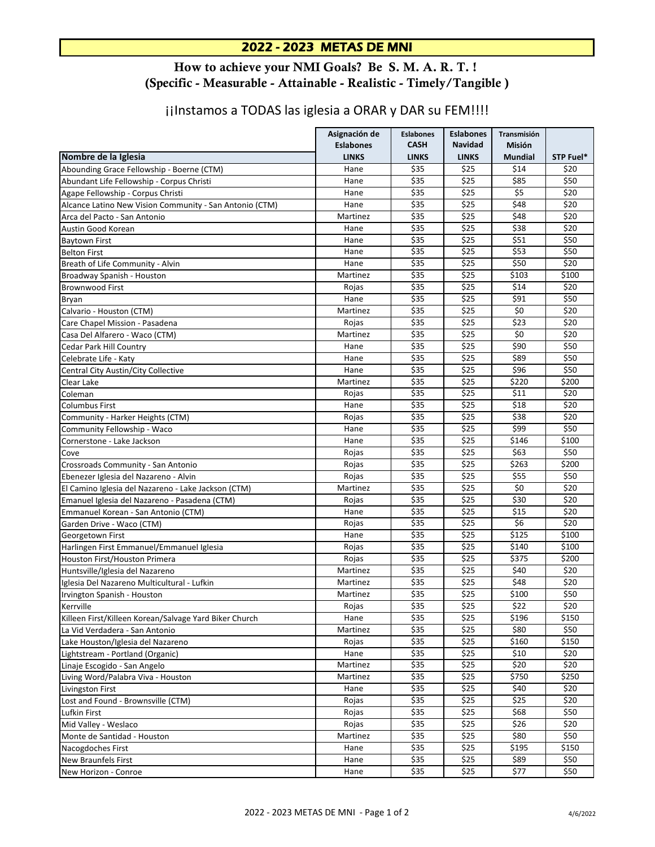## 2022 - 2023 METAS DE MNI

## How to achieve your NMI Goals? Be S. M. A. R. T. ! (Specific - Measurable - Attainable - Realistic - Timely/Tangible )

## jilnstamos a TODAS las iglesia a ORAR y DAR su FEM!!!!

|                                                         | Asignación de                    | <b>Eslabones</b><br><b>CASH</b> | <b>Eslabones</b><br><b>Navidad</b> | Transmisión              | STP Fuel*     |
|---------------------------------------------------------|----------------------------------|---------------------------------|------------------------------------|--------------------------|---------------|
| Nombre de la Iglesia                                    | <b>Eslabones</b><br><b>LINKS</b> | <b>LINKS</b>                    | <b>LINKS</b>                       | Misión<br><b>Mundial</b> |               |
| Abounding Grace Fellowship - Boerne (CTM)               | Hane                             | \$35                            | \$25                               | \$14                     | \$20          |
| Abundant Life Fellowship - Corpus Christi               | Hane                             | \$35                            | \$25                               | \$85                     | \$50          |
| Agape Fellowship - Corpus Christi                       | Hane                             | \$35                            | \$25                               | \$5                      | \$20          |
| Alcance Latino New Vision Community - San Antonio (CTM) | Hane                             | \$35                            | \$25                               | \$48                     | \$20          |
| Arca del Pacto - San Antonio                            | Martinez                         | \$35                            | \$25                               | \$48                     | \$20          |
| Austin Good Korean                                      | Hane                             | \$35                            | \$25                               | \$38                     | \$20          |
| <b>Baytown First</b>                                    | Hane                             | \$35                            | \$25                               | \$51                     | \$50          |
| <b>Belton First</b>                                     | Hane                             | \$35                            | \$25                               | \$53                     | \$50          |
| Breath of Life Community - Alvin                        | Hane                             | \$35                            | \$25                               | \$50                     | \$20          |
| Broadway Spanish - Houston                              | Martinez                         | \$35                            | \$25                               | \$103                    | \$100         |
| <b>Brownwood First</b>                                  | Rojas                            | \$35                            | \$25                               | \$14                     | \$20          |
| Bryan                                                   | Hane                             | \$35                            | \$25                               | \$91                     | \$50          |
| Calvario - Houston (CTM)                                | Martinez                         | \$35                            | \$25                               | \$0                      | \$20          |
| Care Chapel Mission - Pasadena                          | Rojas                            | \$35                            | \$25                               | \$23                     | \$20          |
| Casa Del Alfarero - Waco (CTM)                          | Martinez                         | \$35                            | \$25                               | \$0                      | \$20          |
| Cedar Park Hill Country                                 | Hane                             | \$35                            | \$25                               | \$90                     | \$50          |
| Celebrate Life - Katy                                   | Hane                             | \$35                            | \$25                               | \$89                     | \$50          |
| Central City Austin/City Collective                     | Hane                             | \$35                            | \$25                               | \$96                     | \$50          |
| Clear Lake                                              | Martinez                         | \$35                            | \$25                               | \$220                    | \$200         |
| Coleman                                                 | Rojas                            | \$35                            | \$25                               | \$11                     | \$20          |
| <b>Columbus First</b>                                   | Hane                             | \$35                            | \$25                               | \$18                     | \$20          |
|                                                         | Rojas                            | \$35                            | \$25                               | \$38                     | \$20          |
| Community - Harker Heights (CTM)                        |                                  | \$35                            | \$25                               | \$99                     |               |
| Community Fellowship - Waco                             | Hane                             | \$35                            | \$25                               |                          | \$50<br>\$100 |
| Cornerstone - Lake Jackson                              | Hane                             |                                 |                                    | \$146                    |               |
| Cove                                                    | Rojas                            | \$35<br>\$35                    | \$25<br>\$25                       | \$63<br>\$263            | \$50<br>\$200 |
| Crossroads Community - San Antonio                      | Rojas                            | \$35                            | \$25                               | \$55                     | \$50          |
| Ebenezer Iglesia del Nazareno - Alvin                   | Rojas                            |                                 |                                    |                          |               |
| El Camino Iglesia del Nazareno - Lake Jackson (CTM)     | Martinez                         | \$35                            | \$25                               | \$0                      | \$20          |
| Emanuel Iglesia del Nazareno - Pasadena (CTM)           | Rojas                            | \$35                            | \$25                               | \$30                     | \$20          |
| Emmanuel Korean - San Antonio (CTM)                     | Hane                             | \$35                            | \$25                               | \$15                     | \$20          |
| Garden Drive - Waco (CTM)                               | Rojas                            | \$35                            | \$25                               | \$6                      | \$20          |
| Georgetown First                                        | Hane                             | \$35                            | \$25                               | \$125                    | \$100         |
| Harlingen First Emmanuel/Emmanuel Iglesia               | Rojas                            | \$35                            | \$25                               | \$140                    | \$100         |
| Houston First/Houston Primera                           | Rojas                            | \$35                            | \$25                               | \$375                    | \$200         |
| Huntsville/Iglesia del Nazareno                         | Martinez                         | \$35                            | \$25                               | \$40                     | \$20          |
| Iglesia Del Nazareno Multicultural - Lufkin             | Martinez                         | \$35                            | \$25                               | \$48                     | \$20          |
| Irvington Spanish - Houston                             | Martinez                         | \$35                            | \$25                               | \$100                    | \$50          |
| Kerrville                                               | Rojas                            | \$35                            | \$25                               | \$22                     | \$20          |
| Killeen First/Killeen Korean/Salvage Yard Biker Church  | Hane                             | \$35                            | \$25                               | \$196                    | \$150         |
| La Vid Verdadera - San Antonio                          | Martinez                         | \$35                            | \$25                               | \$80                     | \$50          |
| Lake Houston/Iglesia del Nazareno                       | Rojas                            | \$35                            | \$25                               | \$160                    | \$150         |
| Lightstream - Portland (Organic)                        | Hane                             | \$35                            | \$25                               | \$10                     | \$20          |
| Linaje Escogido - San Angelo                            | Martinez                         | \$35                            | \$25                               | \$20                     | \$20          |
| Living Word/Palabra Viva - Houston                      | Martinez                         | \$35                            | \$25                               | \$750                    | \$250         |
| Livingston First                                        | Hane                             | \$35                            | $\overline{$}25$                   | \$40                     | \$20          |
| Lost and Found - Brownsville (CTM)                      | Rojas                            | \$35                            | \$25                               | \$25                     | \$20          |
| Lufkin First                                            | Rojas                            | \$35                            | \$25                               | \$68                     | \$50          |
| Mid Valley - Weslaco                                    | Rojas                            | \$35                            | \$25                               | \$26                     | \$20          |
| Monte de Santidad - Houston                             | Martinez                         | \$35                            | \$25                               | \$80                     | \$50          |
| Nacogdoches First                                       | Hane                             | \$35                            | \$25                               | \$195                    | \$150         |
| New Braunfels First                                     | Hane                             | \$35                            | \$25                               | \$89                     | \$50          |
| New Horizon - Conroe                                    | Hane                             | \$35                            | \$25                               | \$77                     | \$50          |